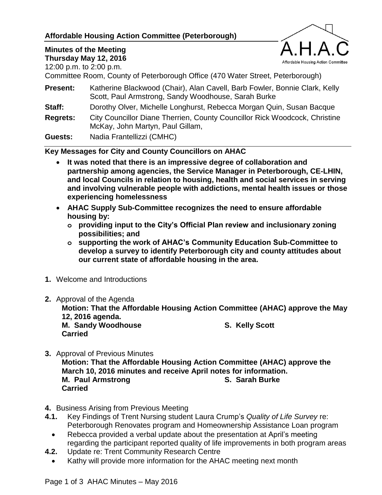## **Affordable Housing Action Committee (Peterborough)**



## **Minutes of the Meeting**

**Thursday May 12, 2016**

12:00 p.m. to 2:00 p.m.

Committee Room, County of Peterborough Office (470 Water Street, Peterborough)

**Present:** Katherine Blackwood (Chair), Alan Cavell, Barb Fowler, Bonnie Clark, Kelly Scott, Paul Armstrong, Sandy Woodhouse, Sarah Burke

**Staff:** Dorothy Olver, Michelle Longhurst, Rebecca Morgan Quin, Susan Bacque

**Regrets:** City Councillor Diane Therrien, County Councillor Rick Woodcock, Christine McKay, John Martyn, Paul Gillam,

**Guests:** Nadia Frantellizzi (CMHC)

**Key Messages for City and County Councillors on AHAC**

- **It was noted that there is an impressive degree of collaboration and partnership among agencies, the Service Manager in Peterborough, CE-LHIN, and local Councils in relation to housing, health and social services in serving and involving vulnerable people with addictions, mental health issues or those experiencing homelessness**
- **AHAC Supply Sub-Committee recognizes the need to ensure affordable housing by:**
	- **o providing input to the City's Official Plan review and inclusionary zoning possibilities; and**
	- **o supporting the work of AHAC's Community Education Sub-Committee to develop a survey to identify Peterborough city and county attitudes about our current state of affordable housing in the area.**
- **1.** Welcome and Introductions
- **2.** Approval of the Agenda

**Motion: That the Affordable Housing Action Committee (AHAC) approve the May 12, 2016 agenda.**

**M. Sandy Woodhouse S. Kelly Scott Carried**

- **3.** Approval of Previous Minutes **Motion: That the Affordable Housing Action Committee (AHAC) approve the March 10, 2016 minutes and receive April notes for information. M. Paul Armstrong S. Sarah Burke Carried**
- **4.** Business Arising from Previous Meeting
- **4.1.** Key Findings of Trent Nursing student Laura Crump's *Quality of Life Survey* re: Peterborough Renovates program and Homeownership Assistance Loan program
	- Rebecca provided a verbal update about the presentation at April's meeting regarding the participant reported quality of life improvements in both program areas
- **4.2.** Update re: Trent Community Research Centre
	- Kathy will provide more information for the AHAC meeting next month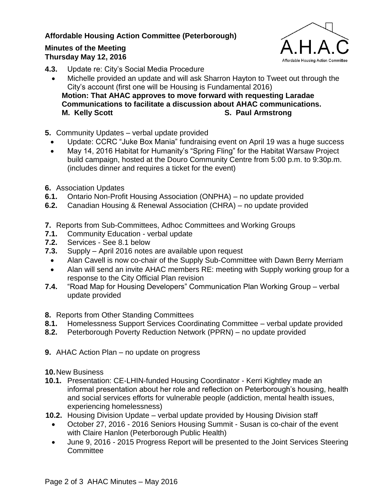## **Affordable Housing Action Committee (Peterborough)**

## **Minutes of the Meeting Thursday May 12, 2016**



- **4.3.** Update re: City's Social Media Procedure
	- Michelle provided an update and will ask Sharron Hayton to Tweet out through the City's account (first one will be Housing is Fundamental 2016) **Motion: That AHAC approves to move forward with requesting Laradae Communications to facilitate a discussion about AHAC communications. M. Kelly Scott S. Paul Armstrong**
- **5.** Community Updates verbal update provided
	- Update: CCRC "Juke Box Mania" fundraising event on April 19 was a huge success
	- May 14, 2016 Habitat for Humanity's "Spring Fling" for the Habitat Warsaw Project build campaign, hosted at the Douro Community Centre from 5:00 p.m. to 9:30p.m. (includes dinner and requires a ticket for the event)
- **6.** Association Updates
- **6.1.** Ontario Non-Profit Housing Association (ONPHA) no update provided
- **6.2.** Canadian Housing & Renewal Association (CHRA) no update provided
- **7.** Reports from Sub-Committees, Adhoc Committees and Working Groups
- **7.1.** Community Education verbal update
- **7.2.** Services See 8.1 below
- **7.3.** Supply April 2016 notes are available upon request
	- Alan Cavell is now co-chair of the Supply Sub-Committee with Dawn Berry Merriam
	- Alan will send an invite AHAC members RE: meeting with Supply working group for a response to the City Official Plan revision
- **7.4.** "Road Map for Housing Developers" Communication Plan Working Group verbal update provided
- **8.** Reports from Other Standing Committees
- **8.1.** Homelessness Support Services Coordinating Committee verbal update provided
- **8.2.** Peterborough Poverty Reduction Network (PPRN) no update provided
- **9.** AHAC Action Plan no update on progress

**10.**New Business

- **10.1.** Presentation: CE-LHIN-funded Housing Coordinator Kerri Kightley made an informal presentation about her role and reflection on Peterborough's housing, health and social services efforts for vulnerable people (addiction, mental health issues, experiencing homelessness)
- **10.2.** Housing Division Update verbal update provided by Housing Division staff
	- October 27, 2016 2016 Seniors Housing Summit Susan is co-chair of the event with Claire Hanlon (Peterborough Public Health)
	- June 9, 2016 2015 Progress Report will be presented to the Joint Services Steering **Committee**